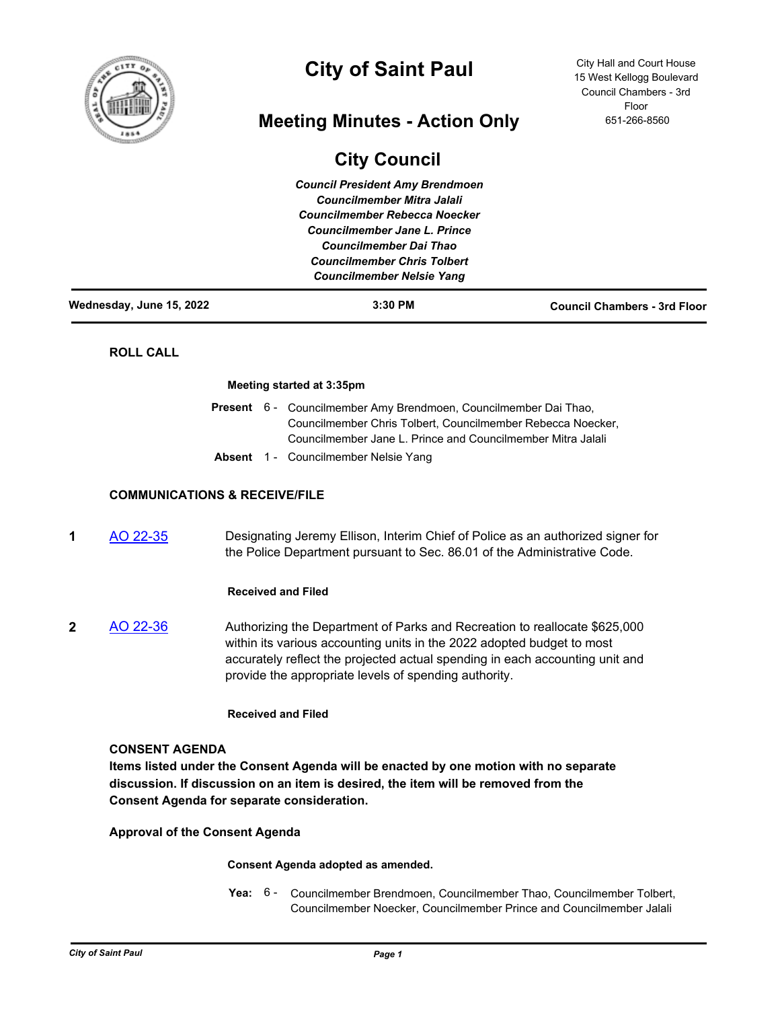

# **City of Saint Paul**

# **Meeting Minutes - Action Only**

# **City Council**

*Council President Amy Brendmoen Councilmember Mitra Jalali Councilmember Rebecca Noecker Councilmember Jane L. Prince Councilmember Dai Thao Councilmember Chris Tolbert Councilmember Nelsie Yang*

City Hall and Court House 15 West Kellogg Boulevard Council Chambers - 3rd Floor 651-266-8560

|  | Wednesday, June 15, 2022 |  |  |
|--|--------------------------|--|--|

**Wednesday, June 15, 2022 3:30 PM Council Chambers - 3rd Floor**

# **ROLL CALL**

## **Meeting started at 3:35pm**

|  | Present 6 - Councilmember Amy Brendmoen, Councilmember Dai Thao, |
|--|------------------------------------------------------------------|
|  | Councilmember Chris Tolbert, Councilmember Rebecca Noecker,      |
|  | Councilmember Jane L. Prince and Councilmember Mitra Jalali      |
|  | Absout 4 Councillos probabilists Money                           |

# **Absent** 1 - Councilmember Nelsie Yang

# **COMMUNICATIONS & RECEIVE/FILE**

**1** [AO 22-35](http://stpaul.legistar.com/gateway.aspx?m=l&id=/matter.aspx?key=41952) Designating Jeremy Ellison, Interim Chief of Police as an authorized signer for the Police Department pursuant to Sec. 86.01 of the Administrative Code.

# **Received and Filed**

**2** [AO 22-36](http://stpaul.legistar.com/gateway.aspx?m=l&id=/matter.aspx?key=41973) Authorizing the Department of Parks and Recreation to reallocate \$625,000 within its various accounting units in the 2022 adopted budget to most accurately reflect the projected actual spending in each accounting unit and provide the appropriate levels of spending authority.

# **Received and Filed**

# **CONSENT AGENDA**

**Items listed under the Consent Agenda will be enacted by one motion with no separate discussion. If discussion on an item is desired, the item will be removed from the Consent Agenda for separate consideration.**

**Approval of the Consent Agenda**

# **Consent Agenda adopted as amended.**

Yea: 6 - Councilmember Brendmoen, Councilmember Thao, Councilmember Tolbert, Councilmember Noecker, Councilmember Prince and Councilmember Jalali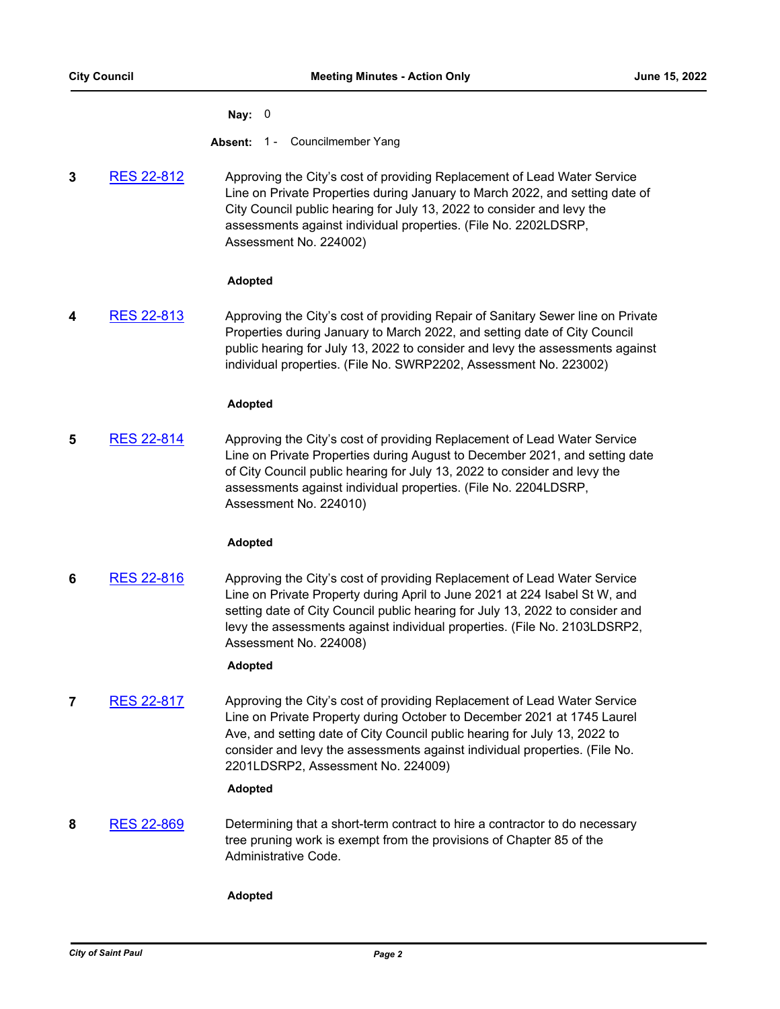## **Nay:** 0

**Absent:** 1 - Councilmember Yang

**3** [RES 22-812](http://stpaul.legistar.com/gateway.aspx?m=l&id=/matter.aspx?key=41879) Approving the City's cost of providing Replacement of Lead Water Service Line on Private Properties during January to March 2022, and setting date of City Council public hearing for July 13, 2022 to consider and levy the assessments against individual properties. (File No. 2202LDSRP, Assessment No. 224002)

# **Adopted**

**4** [RES 22-813](http://stpaul.legistar.com/gateway.aspx?m=l&id=/matter.aspx?key=41880) Approving the City's cost of providing Repair of Sanitary Sewer line on Private Properties during January to March 2022, and setting date of City Council public hearing for July 13, 2022 to consider and levy the assessments against individual properties. (File No. SWRP2202, Assessment No. 223002)

# **Adopted**

**5** [RES 22-814](http://stpaul.legistar.com/gateway.aspx?m=l&id=/matter.aspx?key=41881) Approving the City's cost of providing Replacement of Lead Water Service Line on Private Properties during August to December 2021, and setting date of City Council public hearing for July 13, 2022 to consider and levy the assessments against individual properties. (File No. 2204LDSRP, Assessment No. 224010)

# **Adopted**

**6** [RES 22-816](http://stpaul.legistar.com/gateway.aspx?m=l&id=/matter.aspx?key=41883) Approving the City's cost of providing Replacement of Lead Water Service Line on Private Property during April to June 2021 at 224 Isabel St W, and setting date of City Council public hearing for July 13, 2022 to consider and levy the assessments against individual properties. (File No. 2103LDSRP2, Assessment No. 224008)

# **Adopted**

**7** [RES 22-817](http://stpaul.legistar.com/gateway.aspx?m=l&id=/matter.aspx?key=41884) Approving the City's cost of providing Replacement of Lead Water Service Line on Private Property during October to December 2021 at 1745 Laurel Ave, and setting date of City Council public hearing for July 13, 2022 to consider and levy the assessments against individual properties. (File No. 2201LDSRP2, Assessment No. 224009)

# **Adopted**

**8** [RES 22-869](http://stpaul.legistar.com/gateway.aspx?m=l&id=/matter.aspx?key=41946) Determining that a short-term contract to hire a contractor to do necessary tree pruning work is exempt from the provisions of Chapter 85 of the Administrative Code.

# **Adopted**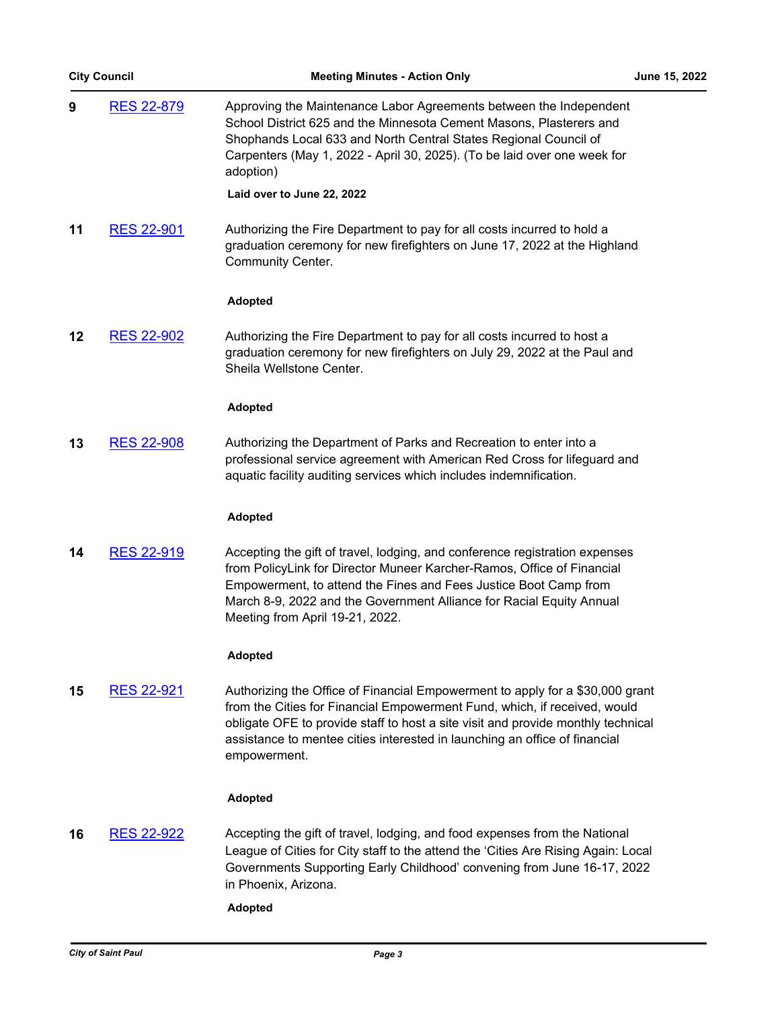| <b>City Council</b> |                   | <b>Meeting Minutes - Action Only</b>                                                                                                                                                                                                                                                                                                         | June 15, 2022 |
|---------------------|-------------------|----------------------------------------------------------------------------------------------------------------------------------------------------------------------------------------------------------------------------------------------------------------------------------------------------------------------------------------------|---------------|
| 9                   | RES 22-879        | Approving the Maintenance Labor Agreements between the Independent<br>School District 625 and the Minnesota Cement Masons, Plasterers and<br>Shophands Local 633 and North Central States Regional Council of<br>Carpenters (May 1, 2022 - April 30, 2025). (To be laid over one week for<br>adoption)                                       |               |
|                     |                   | Laid over to June 22, 2022                                                                                                                                                                                                                                                                                                                   |               |
| 11                  | <b>RES 22-901</b> | Authorizing the Fire Department to pay for all costs incurred to hold a<br>graduation ceremony for new firefighters on June 17, 2022 at the Highland<br><b>Community Center.</b>                                                                                                                                                             |               |
|                     |                   | <b>Adopted</b>                                                                                                                                                                                                                                                                                                                               |               |
| 12                  | <b>RES 22-902</b> | Authorizing the Fire Department to pay for all costs incurred to host a<br>graduation ceremony for new firefighters on July 29, 2022 at the Paul and<br>Sheila Wellstone Center.                                                                                                                                                             |               |
|                     |                   | <b>Adopted</b>                                                                                                                                                                                                                                                                                                                               |               |
| 13                  | <b>RES 22-908</b> | Authorizing the Department of Parks and Recreation to enter into a<br>professional service agreement with American Red Cross for lifeguard and<br>aquatic facility auditing services which includes indemnification.                                                                                                                         |               |
|                     |                   | <b>Adopted</b>                                                                                                                                                                                                                                                                                                                               |               |
| 14                  | <b>RES 22-919</b> | Accepting the gift of travel, lodging, and conference registration expenses<br>from PolicyLink for Director Muneer Karcher-Ramos, Office of Financial<br>Empowerment, to attend the Fines and Fees Justice Boot Camp from<br>March 8-9, 2022 and the Government Alliance for Racial Equity Annual<br>Meeting from April 19-21, 2022.         |               |
|                     |                   | <b>Adopted</b>                                                                                                                                                                                                                                                                                                                               |               |
| 15                  | RES 22-921        | Authorizing the Office of Financial Empowerment to apply for a \$30,000 grant<br>from the Cities for Financial Empowerment Fund, which, if received, would<br>obligate OFE to provide staff to host a site visit and provide monthly technical<br>assistance to mentee cities interested in launching an office of financial<br>empowerment. |               |
|                     |                   | <b>Adopted</b>                                                                                                                                                                                                                                                                                                                               |               |
| 16                  | <u>RES 22-922</u> | Accepting the gift of travel, lodging, and food expenses from the National<br>League of Cities for City staff to the attend the 'Cities Are Rising Again: Local<br>Governments Supporting Early Childhood' convening from June 16-17, 2022<br>in Phoenix, Arizona.                                                                           |               |
|                     |                   |                                                                                                                                                                                                                                                                                                                                              |               |

**Adopted**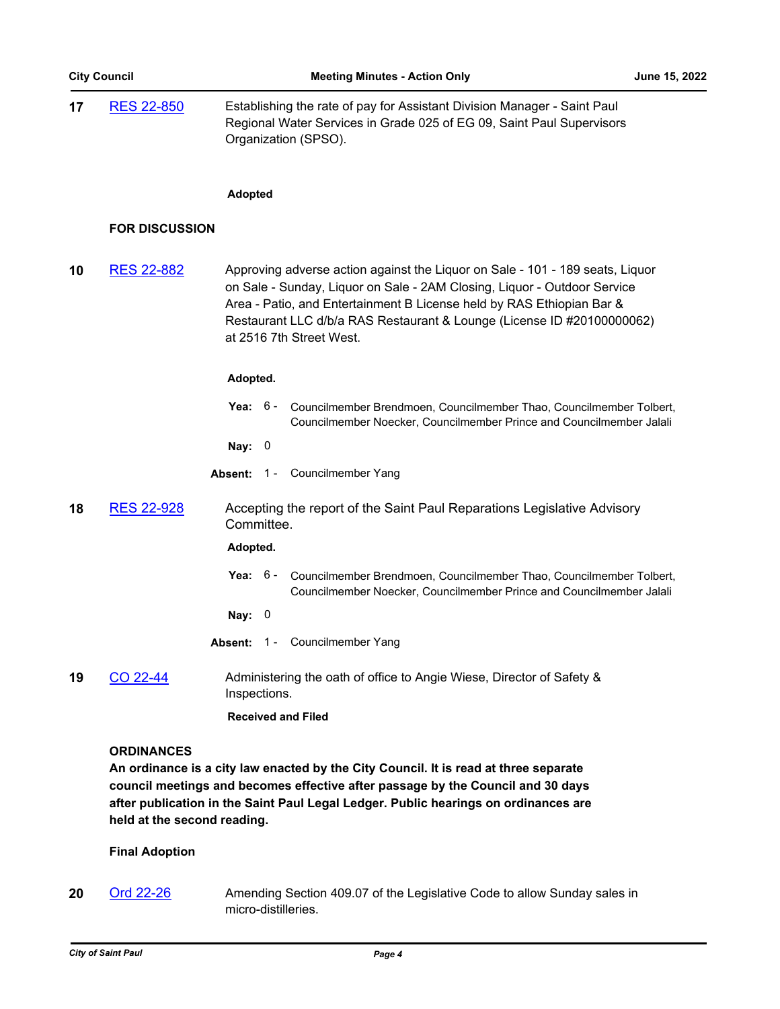| 17 | RES 22-850 | Establishing the rate of pay for Assistant Division Manager - Saint Paul |
|----|------------|--------------------------------------------------------------------------|
|    |            | Regional Water Services in Grade 025 of EG 09, Saint Paul Supervisors    |
|    |            | Organization (SPSO).                                                     |

### **Adopted**

# **FOR DISCUSSION**

**10** [RES 22-882](http://stpaul.legistar.com/gateway.aspx?m=l&id=/matter.aspx?key=41967) Approving adverse action against the Liquor on Sale - 101 - 189 seats, Liquor on Sale - Sunday, Liquor on Sale - 2AM Closing, Liquor - Outdoor Service Area - Patio, and Entertainment B License held by RAS Ethiopian Bar & Restaurant LLC d/b/a RAS Restaurant & Lounge (License ID #20100000062) at 2516 7th Street West.

## **Adopted.**

- **Yea:** Councilmember Brendmoen, Councilmember Thao, Councilmember Tolbert, Councilmember Noecker, Councilmember Prince and Councilmember Jalali Yea:  $6 -$
- **Nay:** 0
- **Absent:** 1 Councilmember Yang
- **18** [RES 22-928](http://stpaul.legistar.com/gateway.aspx?m=l&id=/matter.aspx?key=42025) Accepting the report of the Saint Paul Reparations Legislative Advisory Committee.

# **Adopted.**

- **Yea:** Councilmember Brendmoen, Councilmember Thao, Councilmember Tolbert, Councilmember Noecker, Councilmember Prince and Councilmember Jalali Yea:  $6 -$
- **Nay:** 0
- Absent: 1 Councilmember Yang
- **19** [CO 22-44](http://stpaul.legistar.com/gateway.aspx?m=l&id=/matter.aspx?key=42019) Administering the oath of office to Angie Wiese, Director of Safety & Inspections.

# **Received and Filed**

## **ORDINANCES**

**An ordinance is a city law enacted by the City Council. It is read at three separate council meetings and becomes effective after passage by the Council and 30 days after publication in the Saint Paul Legal Ledger. Public hearings on ordinances are held at the second reading.**

# **Final Adoption**

**20** [Ord 22-26](http://stpaul.legistar.com/gateway.aspx?m=l&id=/matter.aspx?key=41851) Amending Section 409.07 of the Legislative Code to allow Sunday sales in micro-distilleries.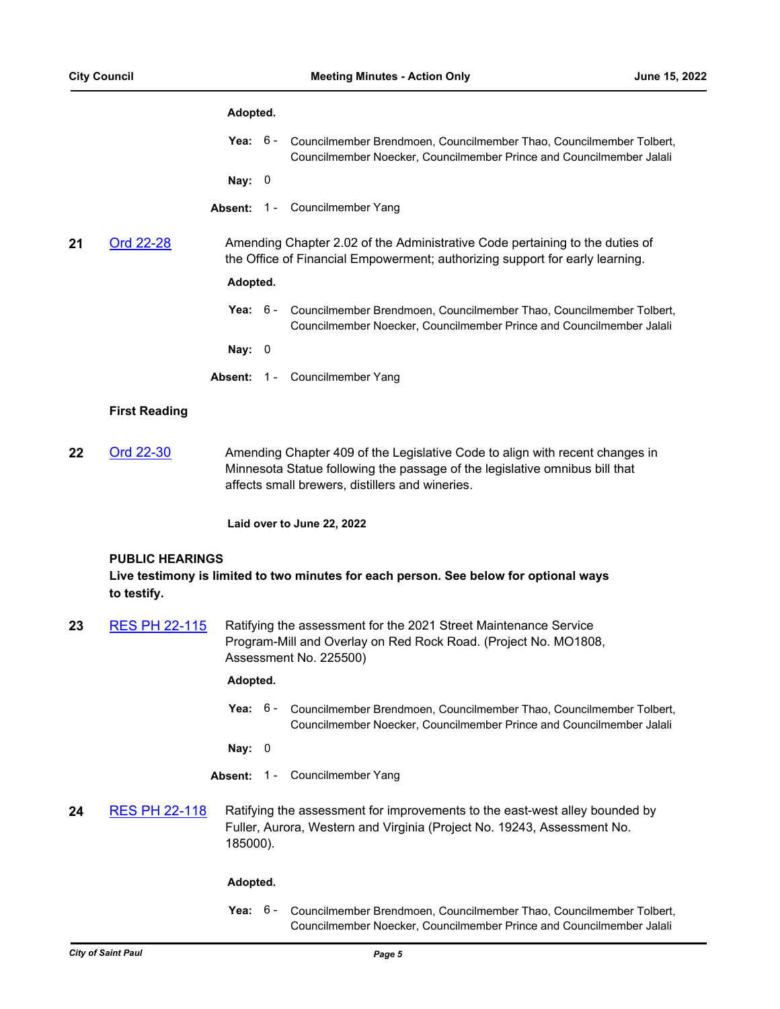# **Adopted.**

**Yea:** Councilmember Brendmoen, Councilmember Thao, Councilmember Tolbert, Councilmember Noecker, Councilmember Prince and Councilmember Jalali Yea:  $6 -$ 

**Nay:** 0

- Absent: 1 Councilmember Yang
- **21** [Ord 22-28](http://stpaul.legistar.com/gateway.aspx?m=l&id=/matter.aspx?key=41931) Amending Chapter 2.02 of the Administrative Code pertaining to the duties of the Office of Financial Empowerment; authorizing support for early learning.

# **Adopted.**

**Yea:** Councilmember Brendmoen, Councilmember Thao, Councilmember Tolbert, Councilmember Noecker, Councilmember Prince and Councilmember Jalali Yea: 6 -

**Nay:** 0

**Absent:** 1 - Councilmember Yang

## **First Reading**

**22** [Ord 22-30](http://stpaul.legistar.com/gateway.aspx?m=l&id=/matter.aspx?key=42031) Amending Chapter 409 of the Legislative Code to align with recent changes in Minnesota Statue following the passage of the legislative omnibus bill that affects small brewers, distillers and wineries.

**Laid over to June 22, 2022**

### **PUBLIC HEARINGS**

**Live testimony is limited to two minutes for each person. See below for optional ways to testify.**

**23** [RES PH 22-115](http://stpaul.legistar.com/gateway.aspx?m=l&id=/matter.aspx?key=41693) Ratifying the assessment for the 2021 Street Maintenance Service Program-Mill and Overlay on Red Rock Road. (Project No. MO1808, Assessment No. 225500)

# **Adopted.**

**Yea:** Councilmember Brendmoen, Councilmember Thao, Councilmember Tolbert, Councilmember Noecker, Councilmember Prince and Councilmember Jalali Yea:  $6 -$ 

**Nay:** 0

- **Absent:** 1 Councilmember Yang
- **24** [RES PH 22-118](http://stpaul.legistar.com/gateway.aspx?m=l&id=/matter.aspx?key=41702) Ratifying the assessment for improvements to the east-west alley bounded by Fuller, Aurora, Western and Virginia (Project No. 19243, Assessment No. 185000).

### **Adopted.**

**Yea:** Councilmember Brendmoen, Councilmember Thao, Councilmember Tolbert, Councilmember Noecker, Councilmember Prince and Councilmember Jalali Yea:  $6 -$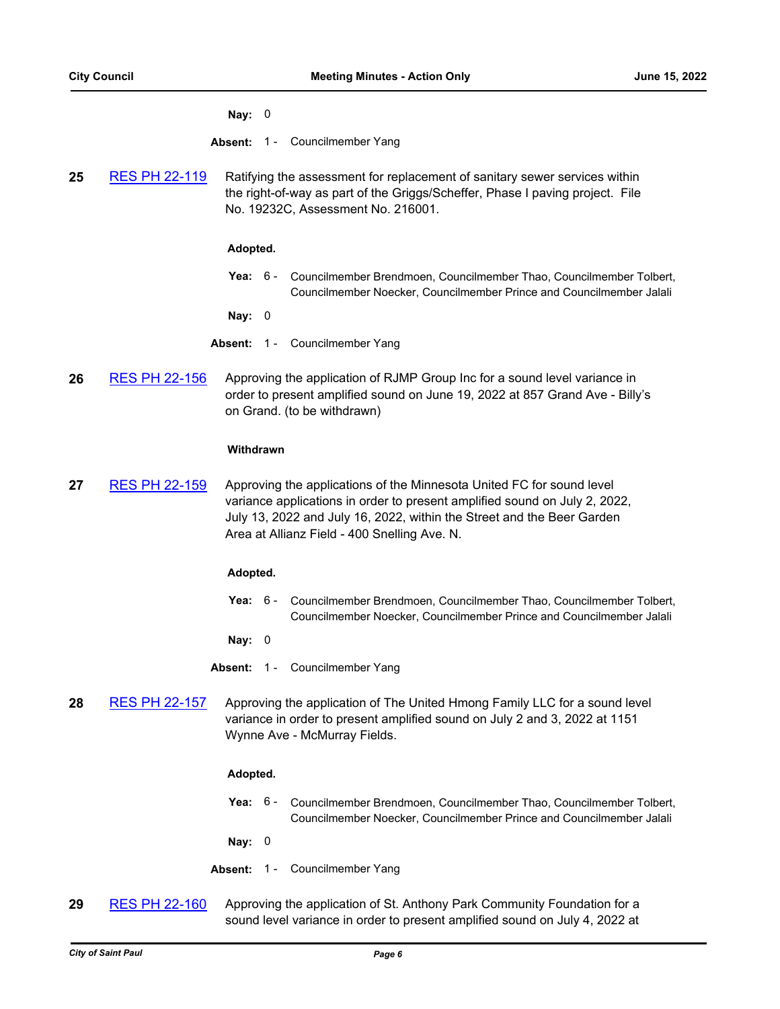### **Nay:** 0

**Absent:** 1 - Councilmember Yang

**25** [RES PH 22-119](http://stpaul.legistar.com/gateway.aspx?m=l&id=/matter.aspx?key=41715) Ratifying the assessment for replacement of sanitary sewer services within the right-of-way as part of the Griggs/Scheffer, Phase I paving project. File No. 19232C, Assessment No. 216001.

## **Adopted.**

**Yea:** Councilmember Brendmoen, Councilmember Thao, Councilmember Tolbert, Councilmember Noecker, Councilmember Prince and Councilmember Jalali Yea:  $6 -$ 

**Nay:** 0

- **Absent:** 1 Councilmember Yang
- **26** [RES PH 22-156](http://stpaul.legistar.com/gateway.aspx?m=l&id=/matter.aspx?key=41939) Approving the application of RJMP Group Inc for a sound level variance in order to present amplified sound on June 19, 2022 at 857 Grand Ave - Billy's on Grand. (to be withdrawn)

### **Withdrawn**

**27** [RES PH 22-159](http://stpaul.legistar.com/gateway.aspx?m=l&id=/matter.aspx?key=41951) Approving the applications of the Minnesota United FC for sound level variance applications in order to present amplified sound on July 2, 2022, July 13, 2022 and July 16, 2022, within the Street and the Beer Garden Area at Allianz Field - 400 Snelling Ave. N.

### **Adopted.**

**Yea:** Councilmember Brendmoen, Councilmember Thao, Councilmember Tolbert, Councilmember Noecker, Councilmember Prince and Councilmember Jalali Yea:  $6 -$ 

**Nay:** 0

**Absent:** 1 - Councilmember Yang

**28** [RES PH 22-157](http://stpaul.legistar.com/gateway.aspx?m=l&id=/matter.aspx?key=41941) Approving the application of The United Hmong Family LLC for a sound level variance in order to present amplified sound on July 2 and 3, 2022 at 1151 Wynne Ave - McMurray Fields.

### **Adopted.**

**Yea:** Councilmember Brendmoen, Councilmember Thao, Councilmember Tolbert, Councilmember Noecker, Councilmember Prince and Councilmember Jalali Yea: 6 -

**Nay:** 0

- **Absent:** 1 Councilmember Yang
- **29** [RES PH 22-160](http://stpaul.legistar.com/gateway.aspx?m=l&id=/matter.aspx?key=41953) Approving the application of St. Anthony Park Community Foundation for a sound level variance in order to present amplified sound on July 4, 2022 at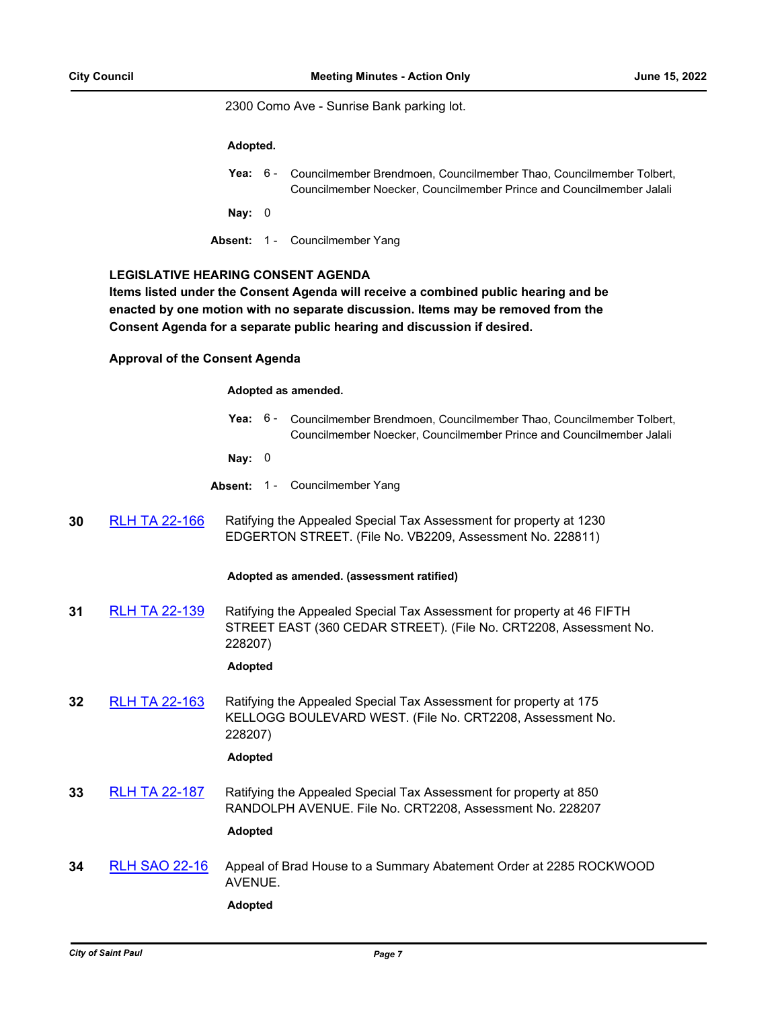2300 Como Ave - Sunrise Bank parking lot.

### **Adopted.**

|          | <b>Yea:</b> 6 - Councilmember Brendmoen, Councilmember Thao, Councilmember Tolbert,<br>Councilmember Noecker, Councilmember Prince and Councilmember Jalali |
|----------|-------------------------------------------------------------------------------------------------------------------------------------------------------------|
| Nay: $0$ |                                                                                                                                                             |
|          | <b>Absent: 1 - Councilmember Yang</b>                                                                                                                       |

# **LEGISLATIVE HEARING CONSENT AGENDA**

**Items listed under the Consent Agenda will receive a combined public hearing and be enacted by one motion with no separate discussion. Items may be removed from the Consent Agenda for a separate public hearing and discussion if desired.**

## **Approval of the Consent Agenda**

### **Adopted as amended.**

Yea: 6 - Councilmember Brendmoen, Councilmember Thao, Councilmember Tolbert, Councilmember Noecker, Councilmember Prince and Councilmember Jalali

**Nay:** 0

- **Absent:** 1 Councilmember Yang
- **30** [RLH TA 22-166](http://stpaul.legistar.com/gateway.aspx?m=l&id=/matter.aspx?key=41684) Ratifying the Appealed Special Tax Assessment for property at 1230 EDGERTON STREET. (File No. VB2209, Assessment No. 228811)

## **Adopted as amended. (assessment ratified)**

**31** [RLH TA 22-139](http://stpaul.legistar.com/gateway.aspx?m=l&id=/matter.aspx?key=41575) Ratifying the Appealed Special Tax Assessment for property at 46 FIFTH STREET EAST (360 CEDAR STREET). (File No. CRT2208, Assessment No. 228207)

# **Adopted**

**32** [RLH TA 22-163](http://stpaul.legistar.com/gateway.aspx?m=l&id=/matter.aspx?key=41671) Ratifying the Appealed Special Tax Assessment for property at 175 KELLOGG BOULEVARD WEST. (File No. CRT2208, Assessment No. 228207)

## **Adopted**

**33** [RLH TA 22-187](http://stpaul.legistar.com/gateway.aspx?m=l&id=/matter.aspx?key=41781) Ratifying the Appealed Special Tax Assessment for property at 850 RANDOLPH AVENUE. File No. CRT2208, Assessment No. 228207

### **Adopted**

**34** [RLH SAO 22-16](http://stpaul.legistar.com/gateway.aspx?m=l&id=/matter.aspx?key=41731) Appeal of Brad House to a Summary Abatement Order at 2285 ROCKWOOD AVENUE.

**Adopted**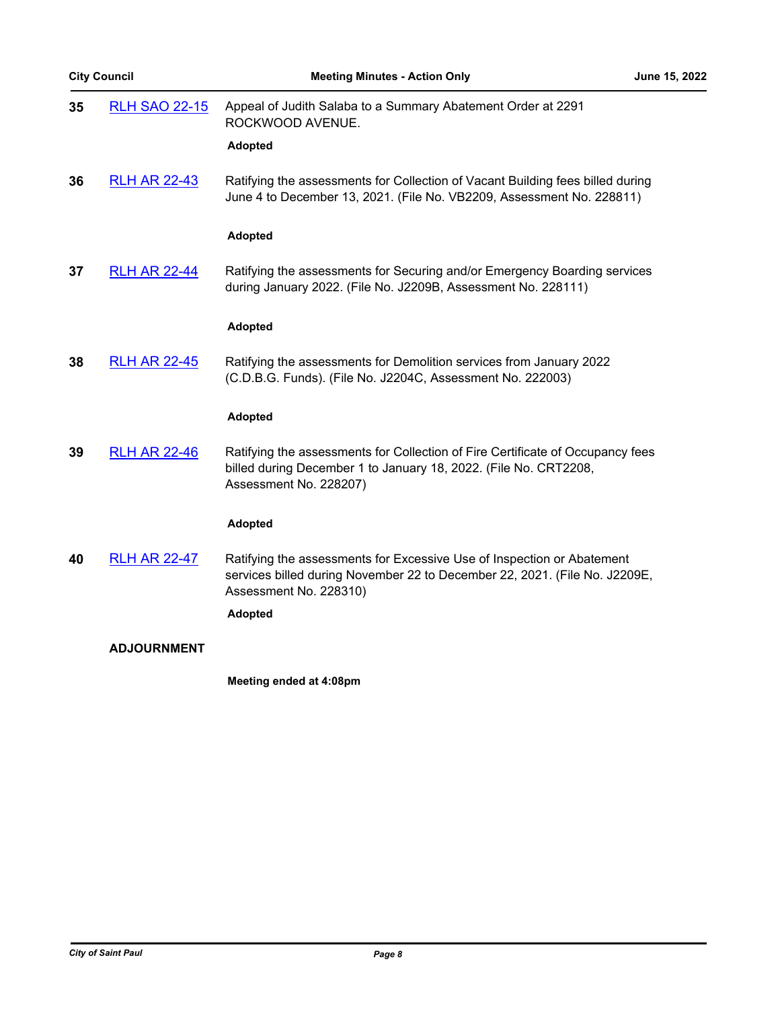| <b>City Council</b> |  |
|---------------------|--|
|                     |  |

| 35 | <b>RLH SAO 22-15</b> | Appeal of Judith Salaba to a Summary Abatement Order at 2291<br>ROCKWOOD AVENUE.                                                                                               |
|----|----------------------|--------------------------------------------------------------------------------------------------------------------------------------------------------------------------------|
|    |                      | <b>Adopted</b>                                                                                                                                                                 |
| 36 | <b>RLH AR 22-43</b>  | Ratifying the assessments for Collection of Vacant Building fees billed during<br>June 4 to December 13, 2021. (File No. VB2209, Assessment No. 228811)                        |
|    |                      | <b>Adopted</b>                                                                                                                                                                 |
| 37 | <b>RLH AR 22-44</b>  | Ratifying the assessments for Securing and/or Emergency Boarding services<br>during January 2022. (File No. J2209B, Assessment No. 228111)                                     |
|    |                      | <b>Adopted</b>                                                                                                                                                                 |
| 38 | <b>RLH AR 22-45</b>  | Ratifying the assessments for Demolition services from January 2022<br>(C.D.B.G. Funds). (File No. J2204C, Assessment No. 222003)                                              |
|    |                      | <b>Adopted</b>                                                                                                                                                                 |
| 39 | <b>RLH AR 22-46</b>  | Ratifying the assessments for Collection of Fire Certificate of Occupancy fees<br>billed during December 1 to January 18, 2022. (File No. CRT2208,<br>Assessment No. 228207)   |
|    |                      | <b>Adopted</b>                                                                                                                                                                 |
| 40 | <b>RLH AR 22-47</b>  | Ratifying the assessments for Excessive Use of Inspection or Abatement<br>services billed during November 22 to December 22, 2021. (File No. J2209E,<br>Assessment No. 228310) |
|    |                      | <b>Adopted</b>                                                                                                                                                                 |
|    | <b>ADJOURNMENT</b>   |                                                                                                                                                                                |
|    |                      | Meeting ended at 4:08pm                                                                                                                                                        |